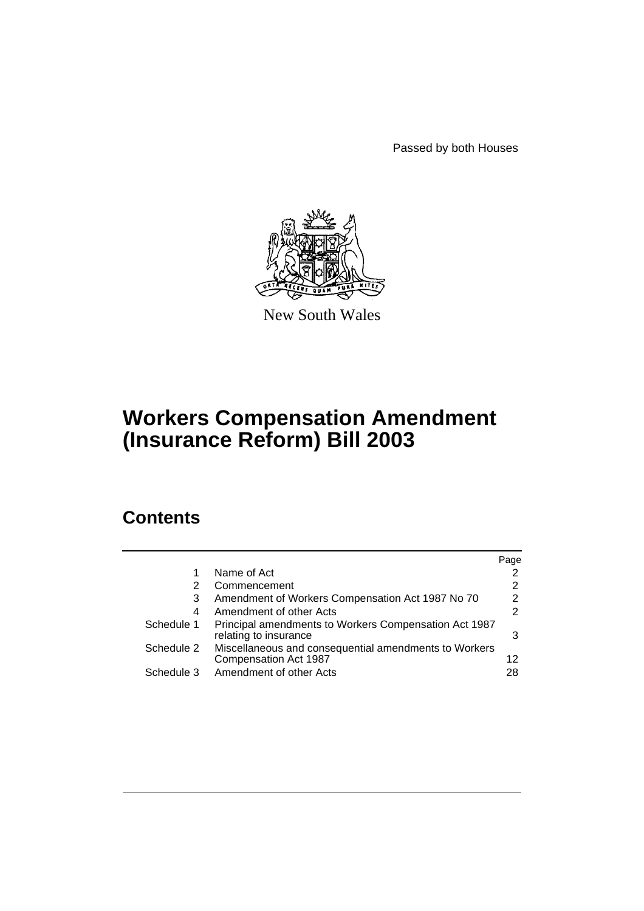Passed by both Houses



New South Wales

# **Workers Compensation Amendment (Insurance Reform) Bill 2003**

# **Contents**

|            |                                                                                | Page          |
|------------|--------------------------------------------------------------------------------|---------------|
|            | Name of Act                                                                    | 2             |
| 2          | Commencement                                                                   | 2             |
| 3          | Amendment of Workers Compensation Act 1987 No 70                               | $\mathcal{P}$ |
| 4          | Amendment of other Acts                                                        | 2             |
| Schedule 1 | Principal amendments to Workers Compensation Act 1987<br>relating to insurance | 3             |
| Schedule 2 | Miscellaneous and consequential amendments to Workers<br>Compensation Act 1987 | 12            |
| Schedule 3 | Amendment of other Acts                                                        | 28            |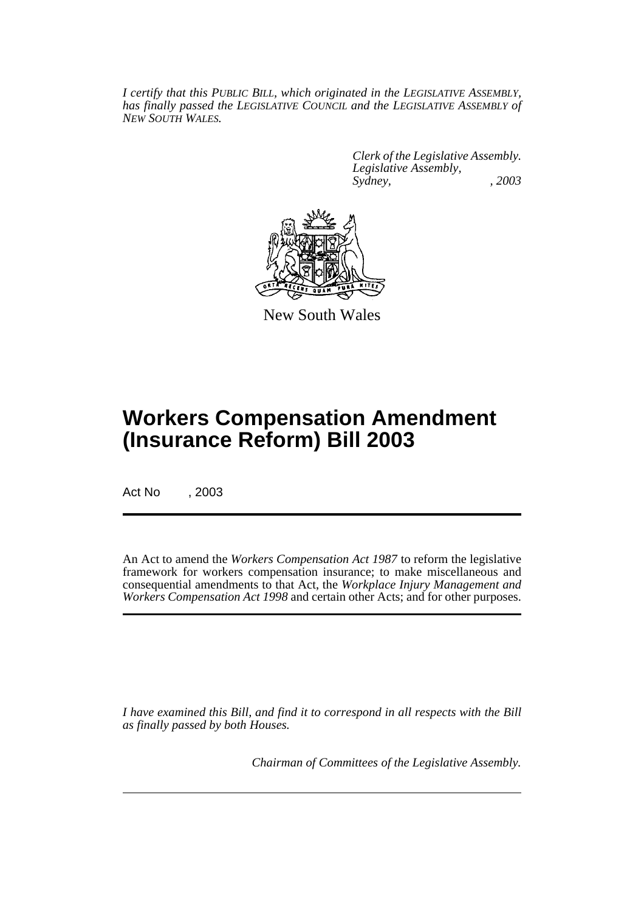*I certify that this PUBLIC BILL, which originated in the LEGISLATIVE ASSEMBLY, has finally passed the LEGISLATIVE COUNCIL and the LEGISLATIVE ASSEMBLY of NEW SOUTH WALES.*

> *Clerk of the Legislative Assembly. Legislative Assembly, Sydney, , 2003*



New South Wales

# **Workers Compensation Amendment (Insurance Reform) Bill 2003**

Act No , 2003

An Act to amend the *Workers Compensation Act 1987* to reform the legislative framework for workers compensation insurance; to make miscellaneous and consequential amendments to that Act, the *Workplace Injury Management and Workers Compensation Act 1998* and certain other Acts; and for other purposes.

*I have examined this Bill, and find it to correspond in all respects with the Bill as finally passed by both Houses.*

*Chairman of Committees of the Legislative Assembly.*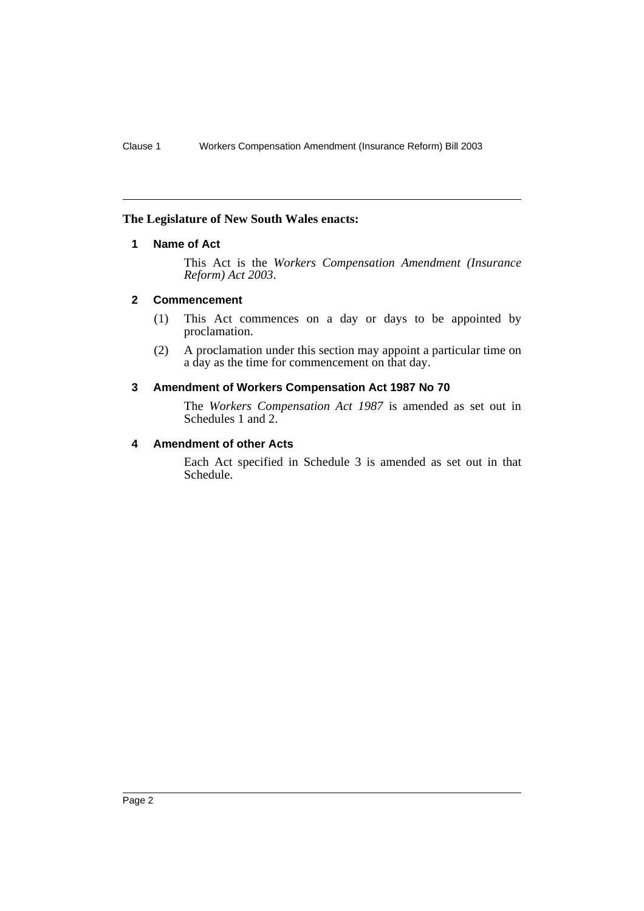#### **The Legislature of New South Wales enacts:**

## **1 Name of Act**

This Act is the *Workers Compensation Amendment (Insurance Reform) Act 2003*.

## **2 Commencement**

- (1) This Act commences on a day or days to be appointed by proclamation.
- (2) A proclamation under this section may appoint a particular time on a day as the time for commencement on that day.

#### **3 Amendment of Workers Compensation Act 1987 No 70**

The *Workers Compensation Act 1987* is amended as set out in Schedules 1 and 2.

#### **4 Amendment of other Acts**

Each Act specified in Schedule 3 is amended as set out in that Schedule.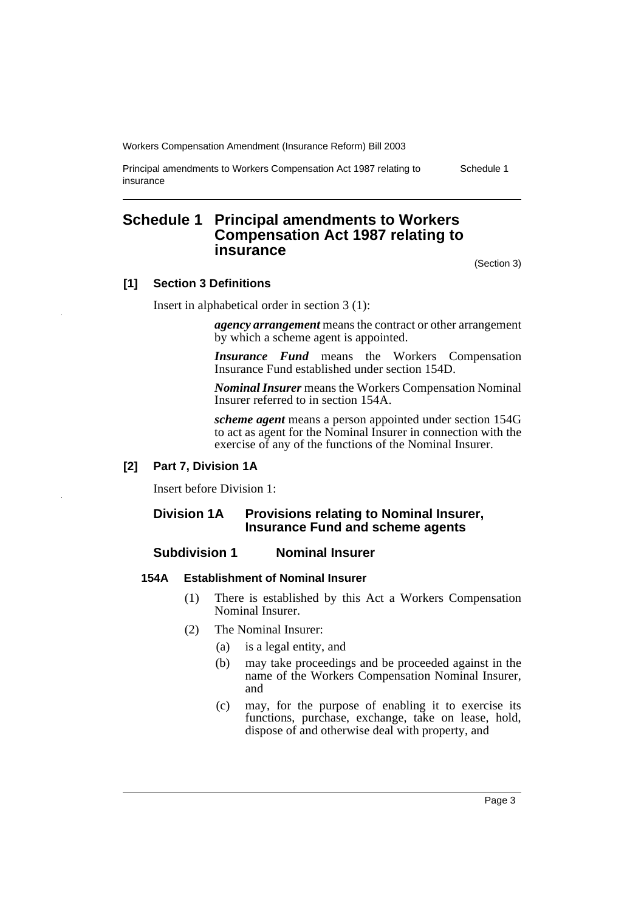Principal amendments to Workers Compensation Act 1987 relating to insurance

Schedule 1

# **Schedule 1 Principal amendments to Workers Compensation Act 1987 relating to insurance**

(Section 3)

## **[1] Section 3 Definitions**

Insert in alphabetical order in section 3 (1):

*agency arrangement* means the contract or other arrangement by which a scheme agent is appointed.

*Insurance Fund* means the Workers Compensation Insurance Fund established under section 154D.

*Nominal Insurer* means the Workers Compensation Nominal Insurer referred to in section 154A.

*scheme agent* means a person appointed under section 154G to act as agent for the Nominal Insurer in connection with the exercise of any of the functions of the Nominal Insurer.

## **[2] Part 7, Division 1A**

Insert before Division 1:

## **Division 1A Provisions relating to Nominal Insurer, Insurance Fund and scheme agents**

## **Subdivision 1 Nominal Insurer**

## **154A Establishment of Nominal Insurer**

- (1) There is established by this Act a Workers Compensation Nominal Insurer.
- (2) The Nominal Insurer:
	- (a) is a legal entity, and
	- (b) may take proceedings and be proceeded against in the name of the Workers Compensation Nominal Insurer, and
	- (c) may, for the purpose of enabling it to exercise its functions, purchase, exchange, take on lease, hold, dispose of and otherwise deal with property, and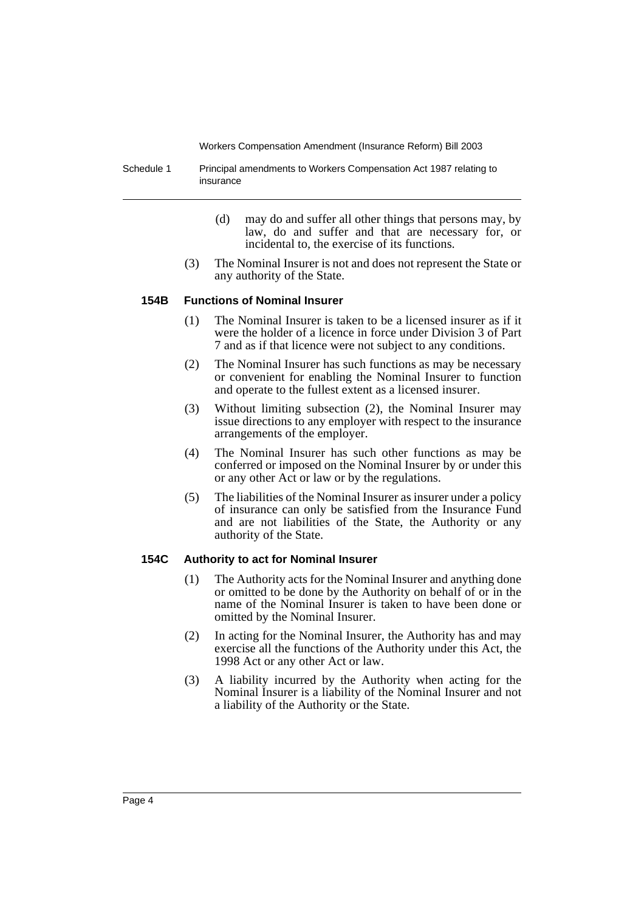Schedule 1 Principal amendments to Workers Compensation Act 1987 relating to insurance

- (d) may do and suffer all other things that persons may, by law, do and suffer and that are necessary for, or incidental to, the exercise of its functions.
- (3) The Nominal Insurer is not and does not represent the State or any authority of the State.

#### **154B Functions of Nominal Insurer**

- (1) The Nominal Insurer is taken to be a licensed insurer as if it were the holder of a licence in force under Division 3 of Part 7 and as if that licence were not subject to any conditions.
- (2) The Nominal Insurer has such functions as may be necessary or convenient for enabling the Nominal Insurer to function and operate to the fullest extent as a licensed insurer.
- (3) Without limiting subsection (2), the Nominal Insurer may issue directions to any employer with respect to the insurance arrangements of the employer.
- (4) The Nominal Insurer has such other functions as may be conferred or imposed on the Nominal Insurer by or under this or any other Act or law or by the regulations.
- (5) The liabilities of the Nominal Insurer as insurer under a policy of insurance can only be satisfied from the Insurance Fund and are not liabilities of the State, the Authority or any authority of the State.

## **154C Authority to act for Nominal Insurer**

- (1) The Authority acts for the Nominal Insurer and anything done or omitted to be done by the Authority on behalf of or in the name of the Nominal Insurer is taken to have been done or omitted by the Nominal Insurer.
- (2) In acting for the Nominal Insurer, the Authority has and may exercise all the functions of the Authority under this Act, the 1998 Act or any other Act or law.
- (3) A liability incurred by the Authority when acting for the Nominal Insurer is a liability of the Nominal Insurer and not a liability of the Authority or the State.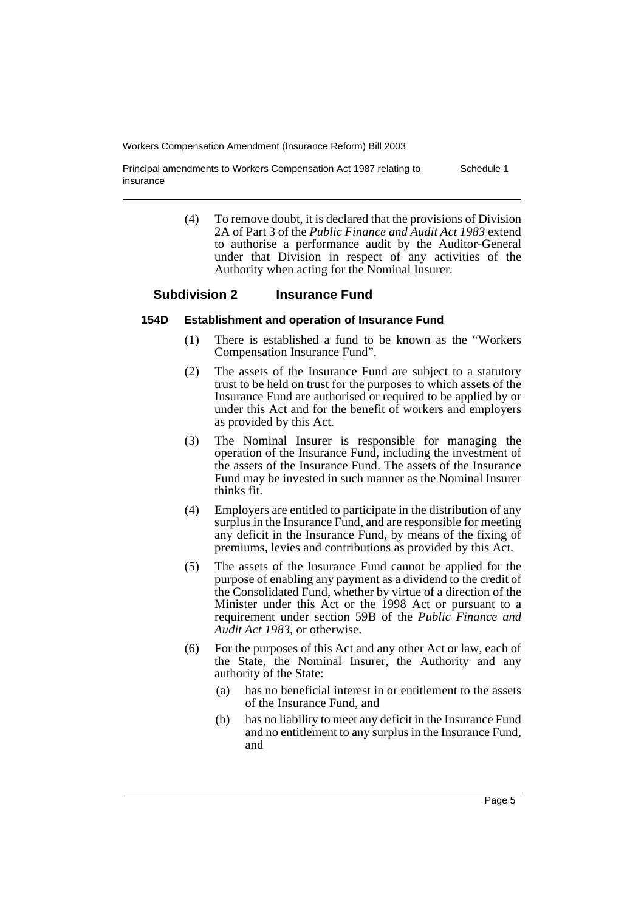Principal amendments to Workers Compensation Act 1987 relating to insurance Schedule 1

> (4) To remove doubt, it is declared that the provisions of Division 2A of Part 3 of the *Public Finance and Audit Act 1983* extend to authorise a performance audit by the Auditor-General under that Division in respect of any activities of the Authority when acting for the Nominal Insurer.

## **Subdivision 2 Insurance Fund**

## **154D Establishment and operation of Insurance Fund**

- (1) There is established a fund to be known as the "Workers Compensation Insurance Fund".
- (2) The assets of the Insurance Fund are subject to a statutory trust to be held on trust for the purposes to which assets of the Insurance Fund are authorised or required to be applied by or under this Act and for the benefit of workers and employers as provided by this Act.
- (3) The Nominal Insurer is responsible for managing the operation of the Insurance Fund, including the investment of the assets of the Insurance Fund. The assets of the Insurance Fund may be invested in such manner as the Nominal Insurer thinks fit.
- (4) Employers are entitled to participate in the distribution of any surplus in the Insurance Fund, and are responsible for meeting any deficit in the Insurance Fund, by means of the fixing of premiums, levies and contributions as provided by this Act.
- (5) The assets of the Insurance Fund cannot be applied for the purpose of enabling any payment as a dividend to the credit of the Consolidated Fund, whether by virtue of a direction of the Minister under this Act or the 1998 Act or pursuant to a requirement under section 59B of the *Public Finance and Audit Act 1983*, or otherwise.
- (6) For the purposes of this Act and any other Act or law, each of the State, the Nominal Insurer, the Authority and any authority of the State:
	- (a) has no beneficial interest in or entitlement to the assets of the Insurance Fund, and
	- (b) has no liability to meet any deficit in the Insurance Fund and no entitlement to any surplus in the Insurance Fund, and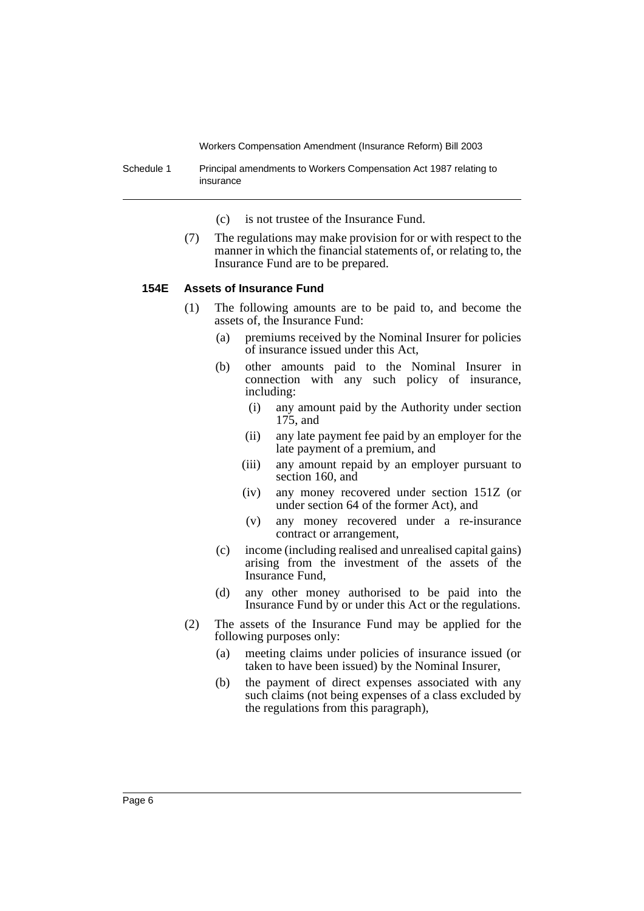Schedule 1 Principal amendments to Workers Compensation Act 1987 relating to insurance

- (c) is not trustee of the Insurance Fund.
- (7) The regulations may make provision for or with respect to the manner in which the financial statements of, or relating to, the Insurance Fund are to be prepared.

## **154E Assets of Insurance Fund**

- (1) The following amounts are to be paid to, and become the assets of, the Insurance Fund:
	- (a) premiums received by the Nominal Insurer for policies of insurance issued under this Act,
	- (b) other amounts paid to the Nominal Insurer in connection with any such policy of insurance, including:
		- (i) any amount paid by the Authority under section 175, and
		- (ii) any late payment fee paid by an employer for the late payment of a premium, and
		- (iii) any amount repaid by an employer pursuant to section 160, and
		- (iv) any money recovered under section 151Z (or under section 64 of the former Act), and
		- (v) any money recovered under a re-insurance contract or arrangement,
	- (c) income (including realised and unrealised capital gains) arising from the investment of the assets of the Insurance Fund,
	- (d) any other money authorised to be paid into the Insurance Fund by or under this Act or the regulations.
- (2) The assets of the Insurance Fund may be applied for the following purposes only:
	- (a) meeting claims under policies of insurance issued (or taken to have been issued) by the Nominal Insurer,
	- (b) the payment of direct expenses associated with any such claims (not being expenses of a class excluded by the regulations from this paragraph),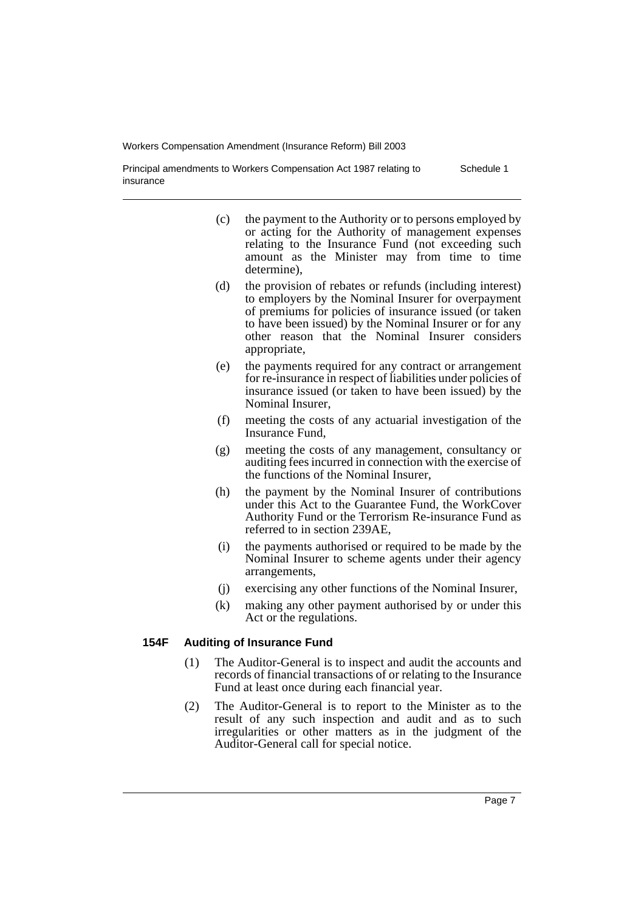Schedule 1

- Principal amendments to Workers Compensation Act 1987 relating to insurance
	- (c) the payment to the Authority or to persons employed by or acting for the Authority of management expenses relating to the Insurance Fund (not exceeding such amount as the Minister may from time to time determine),
	- (d) the provision of rebates or refunds (including interest) to employers by the Nominal Insurer for overpayment of premiums for policies of insurance issued (or taken to have been issued) by the Nominal Insurer or for any other reason that the Nominal Insurer considers appropriate,
	- (e) the payments required for any contract or arrangement for re-insurance in respect of liabilities under policies of insurance issued (or taken to have been issued) by the Nominal Insurer,
	- (f) meeting the costs of any actuarial investigation of the Insurance Fund,
	- (g) meeting the costs of any management, consultancy or auditing fees incurred in connection with the exercise of the functions of the Nominal Insurer,
	- (h) the payment by the Nominal Insurer of contributions under this Act to the Guarantee Fund, the WorkCover Authority Fund or the Terrorism Re-insurance Fund as referred to in section 239AE,
	- (i) the payments authorised or required to be made by the Nominal Insurer to scheme agents under their agency arrangements,
	- (j) exercising any other functions of the Nominal Insurer,
	- (k) making any other payment authorised by or under this Act or the regulations.

## **154F Auditing of Insurance Fund**

- (1) The Auditor-General is to inspect and audit the accounts and records of financial transactions of or relating to the Insurance Fund at least once during each financial year.
- (2) The Auditor-General is to report to the Minister as to the result of any such inspection and audit and as to such irregularities or other matters as in the judgment of the Auditor-General call for special notice.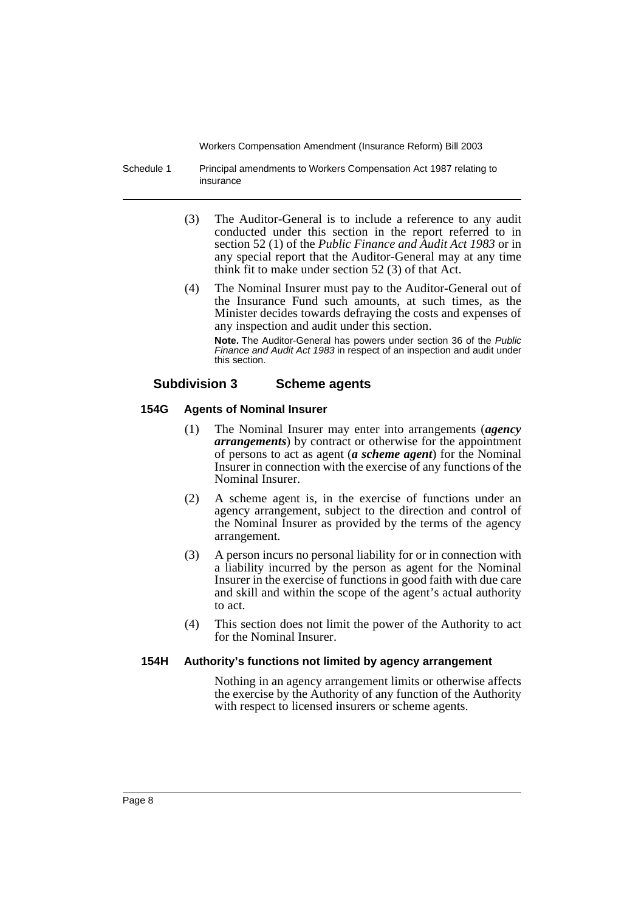Schedule 1 Principal amendments to Workers Compensation Act 1987 relating to insurance

- (3) The Auditor-General is to include a reference to any audit conducted under this section in the report referred to in section 52 (1) of the *Public Finance and Audit Act 1983* or in any special report that the Auditor-General may at any time think fit to make under section 52 (3) of that Act.
- (4) The Nominal Insurer must pay to the Auditor-General out of the Insurance Fund such amounts, at such times, as the Minister decides towards defraying the costs and expenses of any inspection and audit under this section.

**Note.** The Auditor-General has powers under section 36 of the Public Finance and Audit Act 1983 in respect of an inspection and audit under this section.

## **Subdivision 3 Scheme agents**

## **154G Agents of Nominal Insurer**

- (1) The Nominal Insurer may enter into arrangements (*agency arrangements*) by contract or otherwise for the appointment of persons to act as agent (*a scheme agent*) for the Nominal Insurer in connection with the exercise of any functions of the Nominal Insurer.
- (2) A scheme agent is, in the exercise of functions under an agency arrangement, subject to the direction and control of the Nominal Insurer as provided by the terms of the agency arrangement.
- (3) A person incurs no personal liability for or in connection with a liability incurred by the person as agent for the Nominal Insurer in the exercise of functions in good faith with due care and skill and within the scope of the agent's actual authority to act.
- (4) This section does not limit the power of the Authority to act for the Nominal Insurer.

## **154H Authority's functions not limited by agency arrangement**

Nothing in an agency arrangement limits or otherwise affects the exercise by the Authority of any function of the Authority with respect to licensed insurers or scheme agents.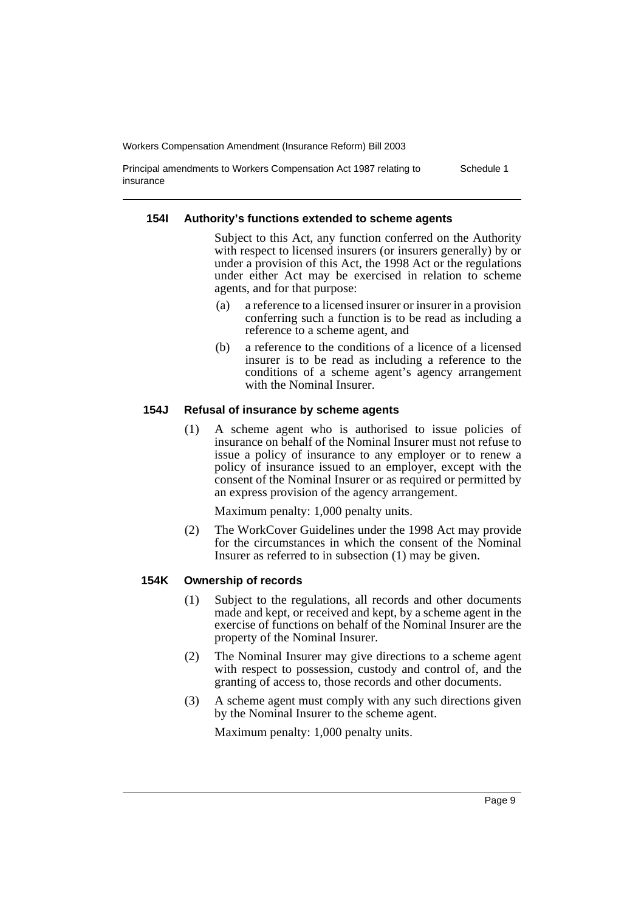Principal amendments to Workers Compensation Act 1987 relating to insurance Schedule 1

#### **154I Authority's functions extended to scheme agents**

Subject to this Act, any function conferred on the Authority with respect to licensed insurers (or insurers generally) by or under a provision of this Act, the 1998 Act or the regulations under either Act may be exercised in relation to scheme agents, and for that purpose:

- (a) a reference to a licensed insurer or insurer in a provision conferring such a function is to be read as including a reference to a scheme agent, and
- (b) a reference to the conditions of a licence of a licensed insurer is to be read as including a reference to the conditions of a scheme agent's agency arrangement with the Nominal Insurer.

#### **154J Refusal of insurance by scheme agents**

(1) A scheme agent who is authorised to issue policies of insurance on behalf of the Nominal Insurer must not refuse to issue a policy of insurance to any employer or to renew a policy of insurance issued to an employer, except with the consent of the Nominal Insurer or as required or permitted by an express provision of the agency arrangement.

Maximum penalty: 1,000 penalty units.

(2) The WorkCover Guidelines under the 1998 Act may provide for the circumstances in which the consent of the Nominal Insurer as referred to in subsection (1) may be given.

#### **154K Ownership of records**

- (1) Subject to the regulations, all records and other documents made and kept, or received and kept, by a scheme agent in the exercise of functions on behalf of the Nominal Insurer are the property of the Nominal Insurer.
- (2) The Nominal Insurer may give directions to a scheme agent with respect to possession, custody and control of, and the granting of access to, those records and other documents.
- (3) A scheme agent must comply with any such directions given by the Nominal Insurer to the scheme agent.

Maximum penalty: 1,000 penalty units.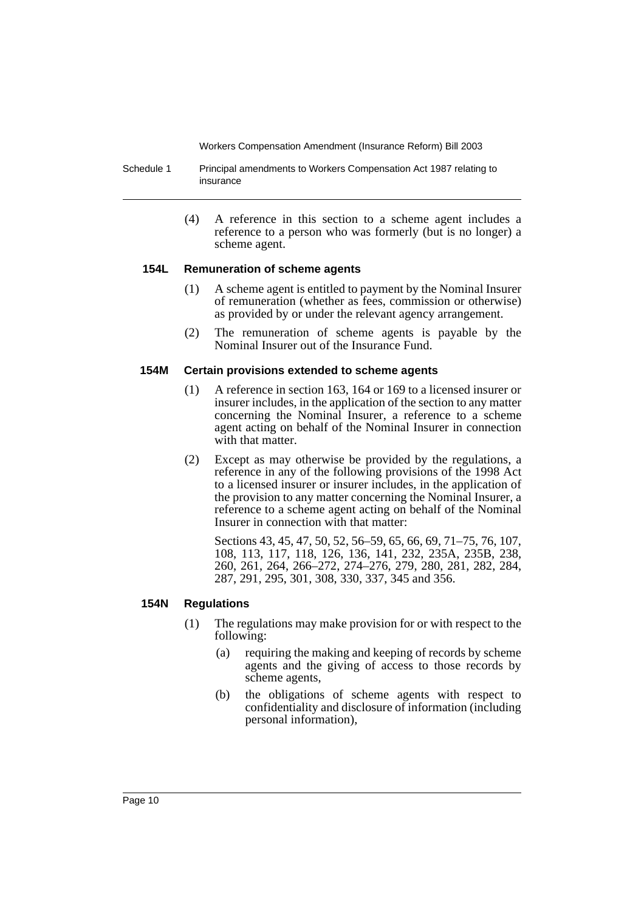- Schedule 1 Principal amendments to Workers Compensation Act 1987 relating to insurance
	- (4) A reference in this section to a scheme agent includes a reference to a person who was formerly (but is no longer) a scheme agent.

#### **154L Remuneration of scheme agents**

- (1) A scheme agent is entitled to payment by the Nominal Insurer of remuneration (whether as fees, commission or otherwise) as provided by or under the relevant agency arrangement.
- (2) The remuneration of scheme agents is payable by the Nominal Insurer out of the Insurance Fund.

#### **154M Certain provisions extended to scheme agents**

- (1) A reference in section 163, 164 or 169 to a licensed insurer or insurer includes, in the application of the section to any matter concerning the Nominal Insurer, a reference to a scheme agent acting on behalf of the Nominal Insurer in connection with that matter.
- (2) Except as may otherwise be provided by the regulations, a reference in any of the following provisions of the 1998 Act to a licensed insurer or insurer includes, in the application of the provision to any matter concerning the Nominal Insurer, a reference to a scheme agent acting on behalf of the Nominal Insurer in connection with that matter:

Sections 43, 45, 47, 50, 52, 56–59, 65, 66, 69, 71–75, 76, 107, 108, 113, 117, 118, 126, 136, 141, 232, 235A, 235B, 238, 260, 261, 264, 266–272, 274–276, 279, 280, 281, 282, 284, 287, 291, 295, 301, 308, 330, 337, 345 and 356.

## **154N Regulations**

- (1) The regulations may make provision for or with respect to the following:
	- (a) requiring the making and keeping of records by scheme agents and the giving of access to those records by scheme agents,
	- (b) the obligations of scheme agents with respect to confidentiality and disclosure of information (including personal information),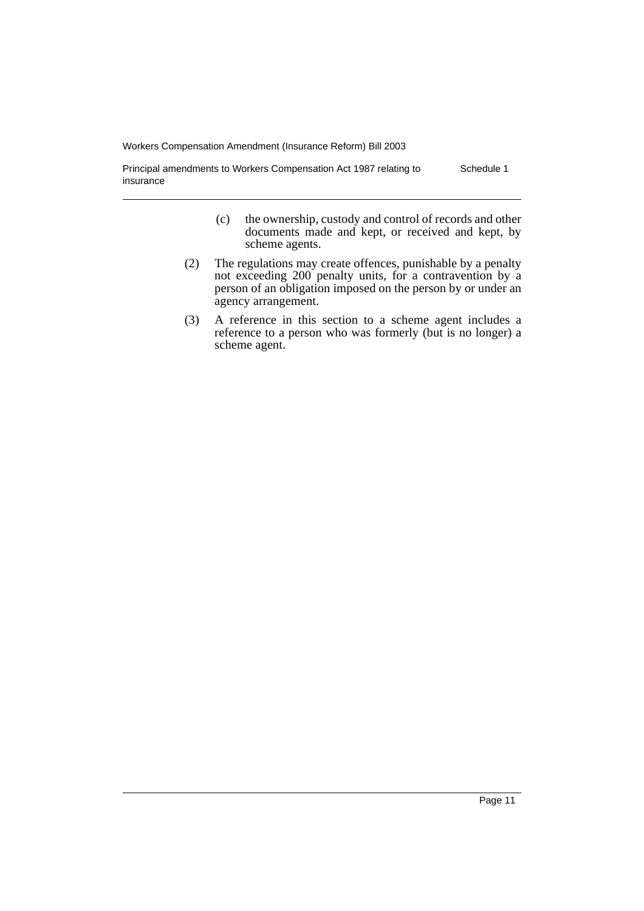Principal amendments to Workers Compensation Act 1987 relating to insurance Schedule 1

- (c) the ownership, custody and control of records and other documents made and kept, or received and kept, by scheme agents.
- (2) The regulations may create offences, punishable by a penalty not exceeding 200 penalty units, for a contravention by a person of an obligation imposed on the person by or under an agency arrangement.
- (3) A reference in this section to a scheme agent includes a reference to a person who was formerly (but is no longer) a scheme agent.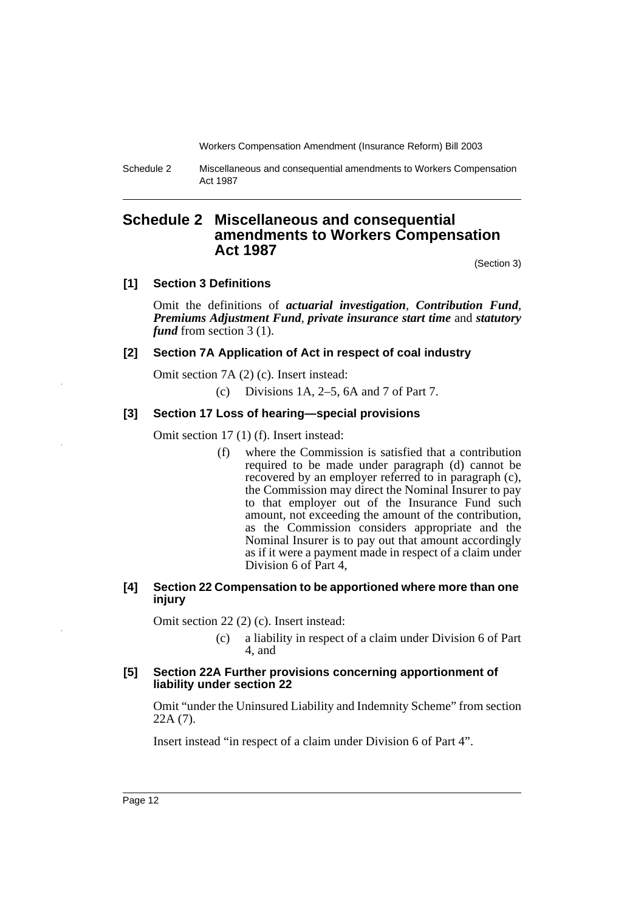Schedule 2 Miscellaneous and consequential amendments to Workers Compensation Act 1987

# **Schedule 2 Miscellaneous and consequential amendments to Workers Compensation Act 1987**

(Section 3)

#### **[1] Section 3 Definitions**

Omit the definitions of *actuarial investigation*, *Contribution Fund*, *Premiums Adjustment Fund*, *private insurance start time* and *statutory fund* from section 3 (1).

#### **[2] Section 7A Application of Act in respect of coal industry**

Omit section 7A (2) (c). Insert instead:

(c) Divisions 1A, 2–5, 6A and 7 of Part 7.

## **[3] Section 17 Loss of hearing—special provisions**

Omit section 17 (1) (f). Insert instead:

(f) where the Commission is satisfied that a contribution required to be made under paragraph (d) cannot be recovered by an employer referred to in paragraph (c), the Commission may direct the Nominal Insurer to pay to that employer out of the Insurance Fund such amount, not exceeding the amount of the contribution, as the Commission considers appropriate and the Nominal Insurer is to pay out that amount accordingly as if it were a payment made in respect of a claim under Division 6 of Part 4,

#### **[4] Section 22 Compensation to be apportioned where more than one injury**

Omit section 22 (2) (c). Insert instead:

(c) a liability in respect of a claim under Division 6 of Part 4, and

#### **[5] Section 22A Further provisions concerning apportionment of liability under section 22**

Omit "under the Uninsured Liability and Indemnity Scheme" from section 22A (7).

Insert instead "in respect of a claim under Division 6 of Part 4".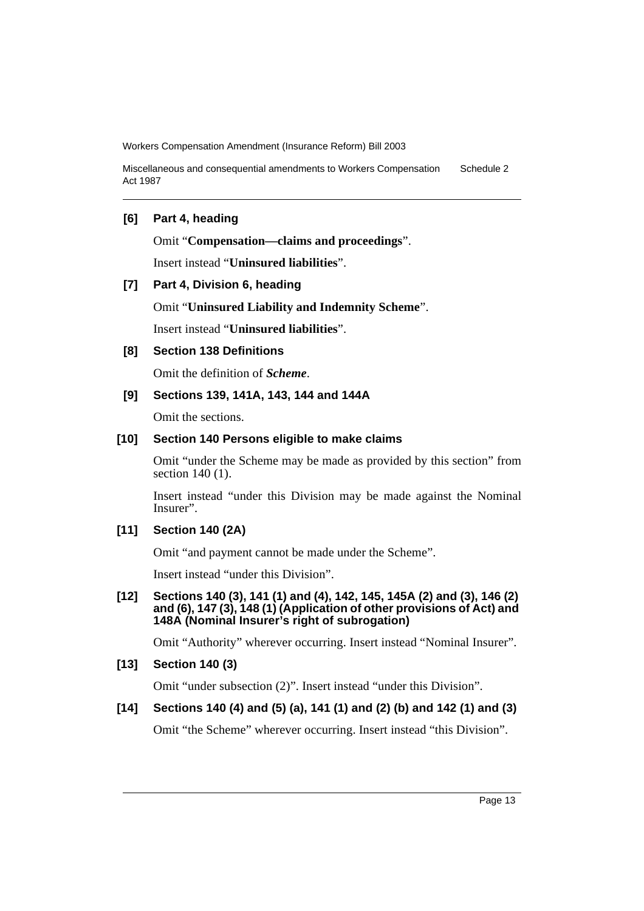Miscellaneous and consequential amendments to Workers Compensation Act 1987 Schedule 2

## **[6] Part 4, heading**

Omit "**Compensation—claims and proceedings**".

Insert instead "**Uninsured liabilities**".

## **[7] Part 4, Division 6, heading**

Omit "**Uninsured Liability and Indemnity Scheme**".

Insert instead "**Uninsured liabilities**".

#### **[8] Section 138 Definitions**

Omit the definition of *Scheme*.

## **[9] Sections 139, 141A, 143, 144 and 144A**

Omit the sections.

## **[10] Section 140 Persons eligible to make claims**

Omit "under the Scheme may be made as provided by this section" from section 140 (1).

Insert instead "under this Division may be made against the Nominal Insurer".

#### **[11] Section 140 (2A)**

Omit "and payment cannot be made under the Scheme".

Insert instead "under this Division".

#### **[12] Sections 140 (3), 141 (1) and (4), 142, 145, 145A (2) and (3), 146 (2) and (6), 147 (3), 148 (1) (Application of other provisions of Act) and 148A (Nominal Insurer's right of subrogation)**

Omit "Authority" wherever occurring. Insert instead "Nominal Insurer".

## **[13] Section 140 (3)**

Omit "under subsection (2)". Insert instead "under this Division".

## **[14] Sections 140 (4) and (5) (a), 141 (1) and (2) (b) and 142 (1) and (3)**

Omit "the Scheme" wherever occurring. Insert instead "this Division".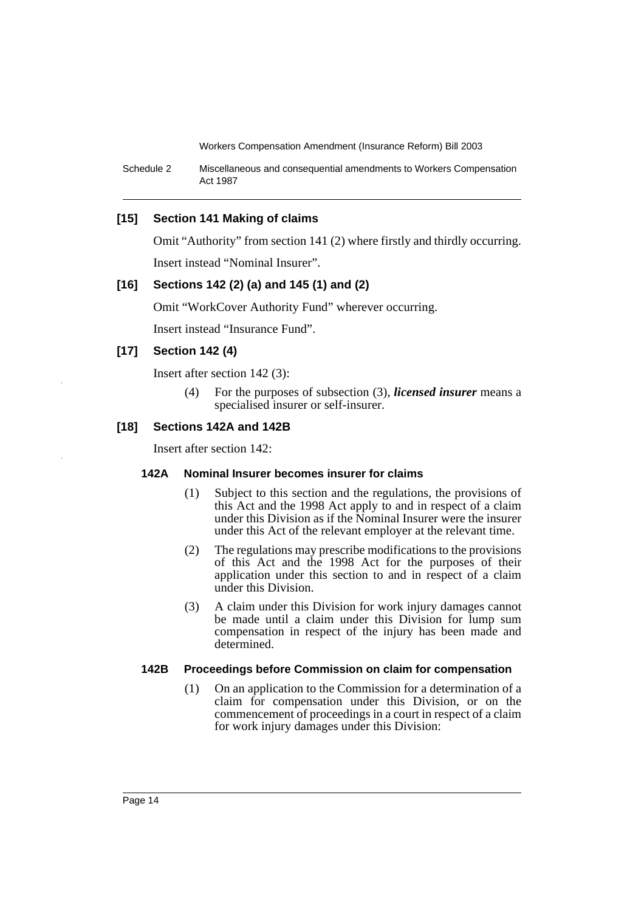Schedule 2 Miscellaneous and consequential amendments to Workers Compensation Act 1987

## **[15] Section 141 Making of claims**

Omit "Authority" from section 141 (2) where firstly and thirdly occurring.

Insert instead "Nominal Insurer".

## **[16] Sections 142 (2) (a) and 145 (1) and (2)**

Omit "WorkCover Authority Fund" wherever occurring.

Insert instead "Insurance Fund".

## **[17] Section 142 (4)**

Insert after section 142 (3):

(4) For the purposes of subsection (3), *licensed insurer* means a specialised insurer or self-insurer.

## **[18] Sections 142A and 142B**

Insert after section 142:

#### **142A Nominal Insurer becomes insurer for claims**

- (1) Subject to this section and the regulations, the provisions of this Act and the 1998 Act apply to and in respect of a claim under this Division as if the Nominal Insurer were the insurer under this Act of the relevant employer at the relevant time.
- (2) The regulations may prescribe modifications to the provisions of this Act and the 1998 Act for the purposes of their application under this section to and in respect of a claim under this Division.
- (3) A claim under this Division for work injury damages cannot be made until a claim under this Division for lump sum compensation in respect of the injury has been made and determined.

#### **142B Proceedings before Commission on claim for compensation**

(1) On an application to the Commission for a determination of a claim for compensation under this Division, or on the commencement of proceedings in a court in respect of a claim for work injury damages under this Division: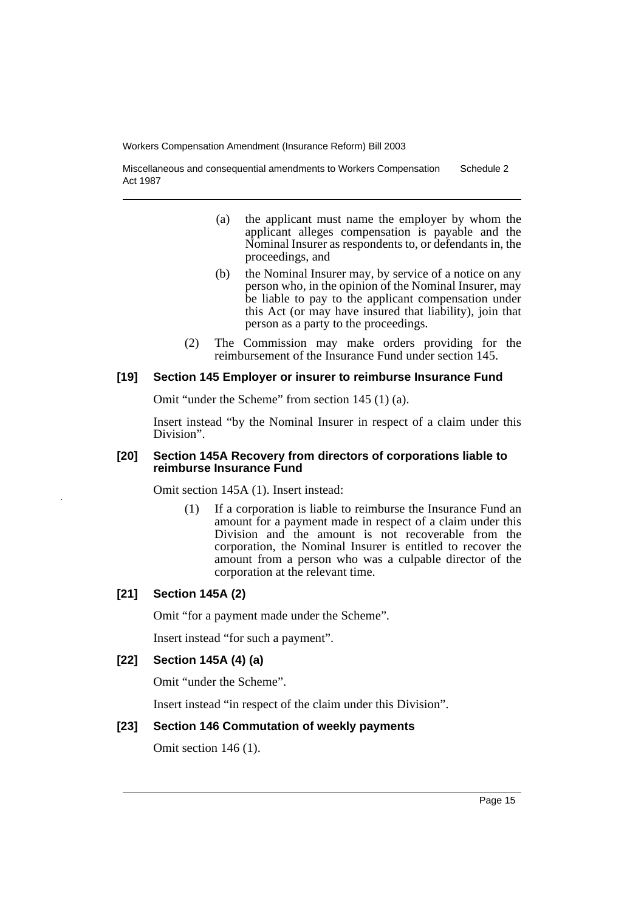Miscellaneous and consequential amendments to Workers Compensation Act 1987 Schedule 2

- (a) the applicant must name the employer by whom the applicant alleges compensation is payable and the Nominal Insurer as respondents to, or defendants in, the proceedings, and
- (b) the Nominal Insurer may, by service of a notice on any person who, in the opinion of the Nominal Insurer, may be liable to pay to the applicant compensation under this Act (or may have insured that liability), join that person as a party to the proceedings.
- (2) The Commission may make orders providing for the reimbursement of the Insurance Fund under section 145.

#### **[19] Section 145 Employer or insurer to reimburse Insurance Fund**

Omit "under the Scheme" from section 145 (1) (a).

Insert instead "by the Nominal Insurer in respect of a claim under this Division".

#### **[20] Section 145A Recovery from directors of corporations liable to reimburse Insurance Fund**

Omit section 145A (1). Insert instead:

(1) If a corporation is liable to reimburse the Insurance Fund an amount for a payment made in respect of a claim under this Division and the amount is not recoverable from the corporation, the Nominal Insurer is entitled to recover the amount from a person who was a culpable director of the corporation at the relevant time.

## **[21] Section 145A (2)**

Omit "for a payment made under the Scheme".

Insert instead "for such a payment".

#### **[22] Section 145A (4) (a)**

Omit "under the Scheme".

Insert instead "in respect of the claim under this Division".

#### **[23] Section 146 Commutation of weekly payments**

Omit section 146 (1).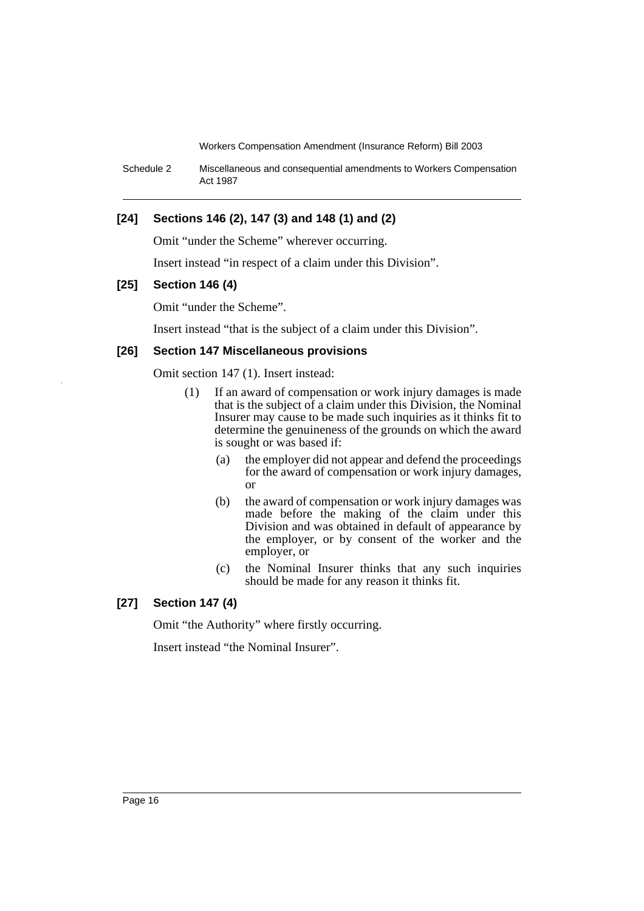Schedule 2 Miscellaneous and consequential amendments to Workers Compensation Act 1987

## **[24] Sections 146 (2), 147 (3) and 148 (1) and (2)**

Omit "under the Scheme" wherever occurring.

Insert instead "in respect of a claim under this Division".

#### **[25] Section 146 (4)**

Omit "under the Scheme".

Insert instead "that is the subject of a claim under this Division".

#### **[26] Section 147 Miscellaneous provisions**

Omit section 147 (1). Insert instead:

- (1) If an award of compensation or work injury damages is made that is the subject of a claim under this Division, the Nominal Insurer may cause to be made such inquiries as it thinks fit to determine the genuineness of the grounds on which the award is sought or was based if:
	- (a) the employer did not appear and defend the proceedings for the award of compensation or work injury damages, or
	- (b) the award of compensation or work injury damages was made before the making of the claim under this Division and was obtained in default of appearance by the employer, or by consent of the worker and the employer, or
	- (c) the Nominal Insurer thinks that any such inquiries should be made for any reason it thinks fit.

## **[27] Section 147 (4)**

Omit "the Authority" where firstly occurring.

Insert instead "the Nominal Insurer".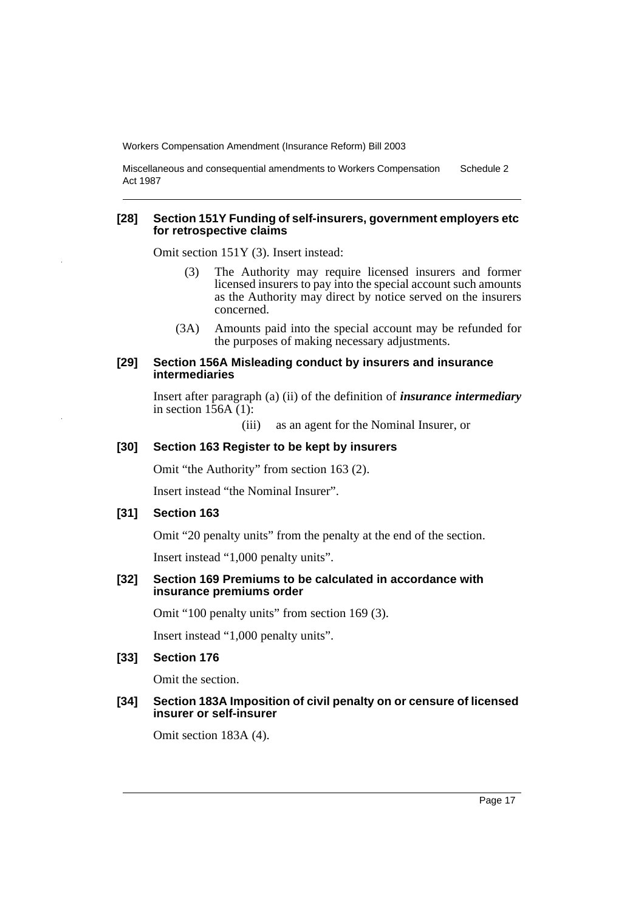Miscellaneous and consequential amendments to Workers Compensation Act 1987 Schedule 2

#### **[28] Section 151Y Funding of self-insurers, government employers etc for retrospective claims**

Omit section 151Y (3). Insert instead:

- (3) The Authority may require licensed insurers and former licensed insurers to pay into the special account such amounts as the Authority may direct by notice served on the insurers concerned.
- (3A) Amounts paid into the special account may be refunded for the purposes of making necessary adjustments.

#### **[29] Section 156A Misleading conduct by insurers and insurance intermediaries**

Insert after paragraph (a) (ii) of the definition of *insurance intermediary* in section  $1\overline{56A(1)}$ :

(iii) as an agent for the Nominal Insurer, or

#### **[30] Section 163 Register to be kept by insurers**

Omit "the Authority" from section 163 (2).

Insert instead "the Nominal Insurer".

## **[31] Section 163**

Omit "20 penalty units" from the penalty at the end of the section.

Insert instead "1,000 penalty units".

## **[32] Section 169 Premiums to be calculated in accordance with insurance premiums order**

Omit "100 penalty units" from section 169 (3).

Insert instead "1,000 penalty units".

## **[33] Section 176**

Omit the section.

#### **[34] Section 183A Imposition of civil penalty on or censure of licensed insurer or self-insurer**

Omit section 183A (4).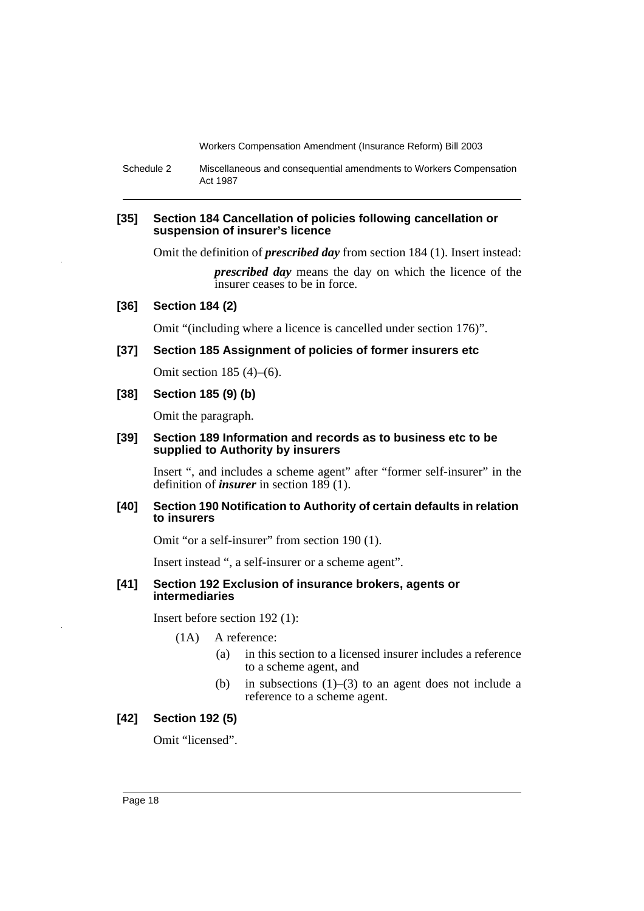Schedule 2 Miscellaneous and consequential amendments to Workers Compensation Act 1987

#### **[35] Section 184 Cancellation of policies following cancellation or suspension of insurer's licence**

Omit the definition of *prescribed day* from section 184 (1). Insert instead:

*prescribed day* means the day on which the licence of the insurer ceases to be in force.

## **[36] Section 184 (2)**

Omit "(including where a licence is cancelled under section 176)".

#### **[37] Section 185 Assignment of policies of former insurers etc**

Omit section 185 (4)–(6).

## **[38] Section 185 (9) (b)**

Omit the paragraph.

#### **[39] Section 189 Information and records as to business etc to be supplied to Authority by insurers**

Insert ", and includes a scheme agent" after "former self-insurer" in the definition of *insurer* in section 189 (1).

#### **[40] Section 190 Notification to Authority of certain defaults in relation to insurers**

Omit "or a self-insurer" from section 190 (1).

Insert instead ", a self-insurer or a scheme agent".

#### **[41] Section 192 Exclusion of insurance brokers, agents or intermediaries**

Insert before section 192 (1):

- (1A) A reference:
	- (a) in this section to a licensed insurer includes a reference to a scheme agent, and
	- (b) in subsections  $(1)$ – $(3)$  to an agent does not include a reference to a scheme agent.

## **[42] Section 192 (5)**

Omit "licensed".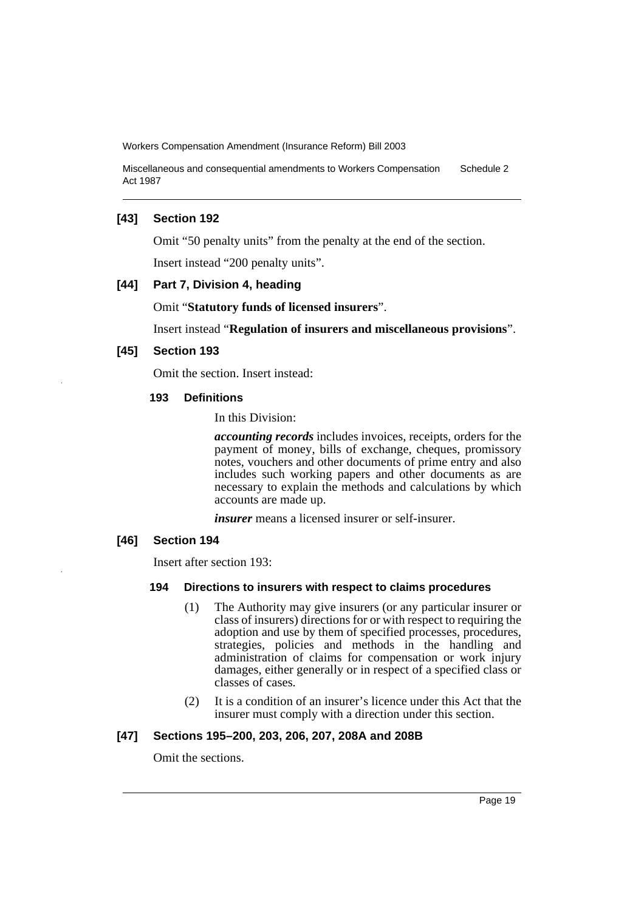Miscellaneous and consequential amendments to Workers Compensation Act 1987 Schedule 2

#### **[43] Section 192**

Omit "50 penalty units" from the penalty at the end of the section.

Insert instead "200 penalty units".

## **[44] Part 7, Division 4, heading**

Omit "**Statutory funds of licensed insurers**".

Insert instead "**Regulation of insurers and miscellaneous provisions**".

#### **[45] Section 193**

Omit the section. Insert instead:

#### **193 Definitions**

In this Division:

*accounting records* includes invoices, receipts, orders for the payment of money, bills of exchange, cheques, promissory notes, vouchers and other documents of prime entry and also includes such working papers and other documents as are necessary to explain the methods and calculations by which accounts are made up.

*insurer* means a licensed insurer or self-insurer.

## **[46] Section 194**

Insert after section 193:

#### **194 Directions to insurers with respect to claims procedures**

- (1) The Authority may give insurers (or any particular insurer or class of insurers) directions for or with respect to requiring the adoption and use by them of specified processes, procedures, strategies, policies and methods in the handling and administration of claims for compensation or work injury damages, either generally or in respect of a specified class or classes of cases.
- (2) It is a condition of an insurer's licence under this Act that the insurer must comply with a direction under this section.

## **[47] Sections 195–200, 203, 206, 207, 208A and 208B**

Omit the sections.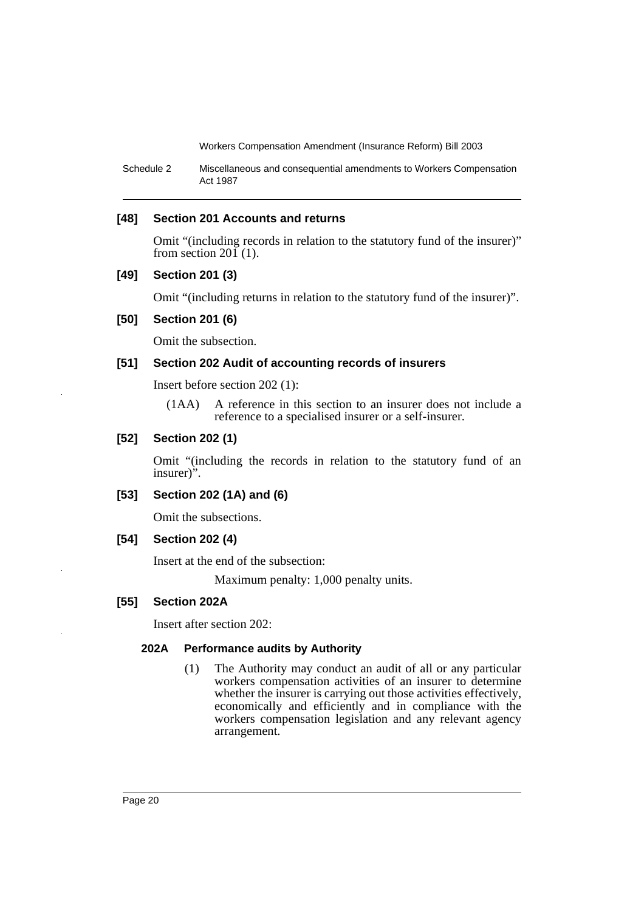Schedule 2 Miscellaneous and consequential amendments to Workers Compensation Act 1987

## **[48] Section 201 Accounts and returns**

Omit "(including records in relation to the statutory fund of the insurer)" from section  $20\tilde{1}$  (1).

## **[49] Section 201 (3)**

Omit "(including returns in relation to the statutory fund of the insurer)".

#### **[50] Section 201 (6)**

Omit the subsection.

## **[51] Section 202 Audit of accounting records of insurers**

Insert before section 202 (1):

(1AA) A reference in this section to an insurer does not include a reference to a specialised insurer or a self-insurer.

## **[52] Section 202 (1)**

Omit "(including the records in relation to the statutory fund of an insurer)".

#### **[53] Section 202 (1A) and (6)**

Omit the subsections.

## **[54] Section 202 (4)**

Insert at the end of the subsection:

Maximum penalty: 1,000 penalty units.

## **[55] Section 202A**

Insert after section 202:

## **202A Performance audits by Authority**

(1) The Authority may conduct an audit of all or any particular workers compensation activities of an insurer to determine whether the insurer is carrying out those activities effectively, economically and efficiently and in compliance with the workers compensation legislation and any relevant agency arrangement.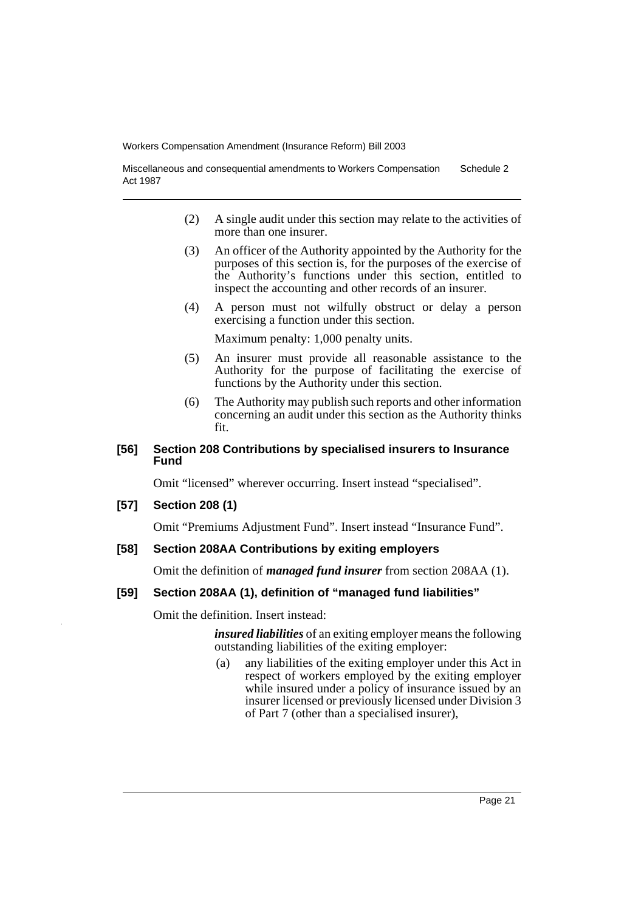Miscellaneous and consequential amendments to Workers Compensation Act 1987 Schedule 2

- (2) A single audit under this section may relate to the activities of more than one insurer.
- (3) An officer of the Authority appointed by the Authority for the purposes of this section is, for the purposes of the exercise of the Authority's functions under this section, entitled to inspect the accounting and other records of an insurer.
- (4) A person must not wilfully obstruct or delay a person exercising a function under this section.

Maximum penalty: 1,000 penalty units.

- (5) An insurer must provide all reasonable assistance to the Authority for the purpose of facilitating the exercise of functions by the Authority under this section.
- (6) The Authority may publish such reports and other information concerning an audit under this section as the Authority thinks fit.

#### **[56] Section 208 Contributions by specialised insurers to Insurance Fund**

Omit "licensed" wherever occurring. Insert instead "specialised".

#### **[57] Section 208 (1)**

Omit "Premiums Adjustment Fund". Insert instead "Insurance Fund".

#### **[58] Section 208AA Contributions by exiting employers**

Omit the definition of *managed fund insurer* from section 208AA (1).

#### **[59] Section 208AA (1), definition of "managed fund liabilities"**

Omit the definition. Insert instead:

*insured liabilities* of an exiting employer means the following outstanding liabilities of the exiting employer:

(a) any liabilities of the exiting employer under this Act in respect of workers employed by the exiting employer while insured under a policy of insurance issued by an insurer licensed or previously licensed under Division 3 of Part 7 (other than a specialised insurer),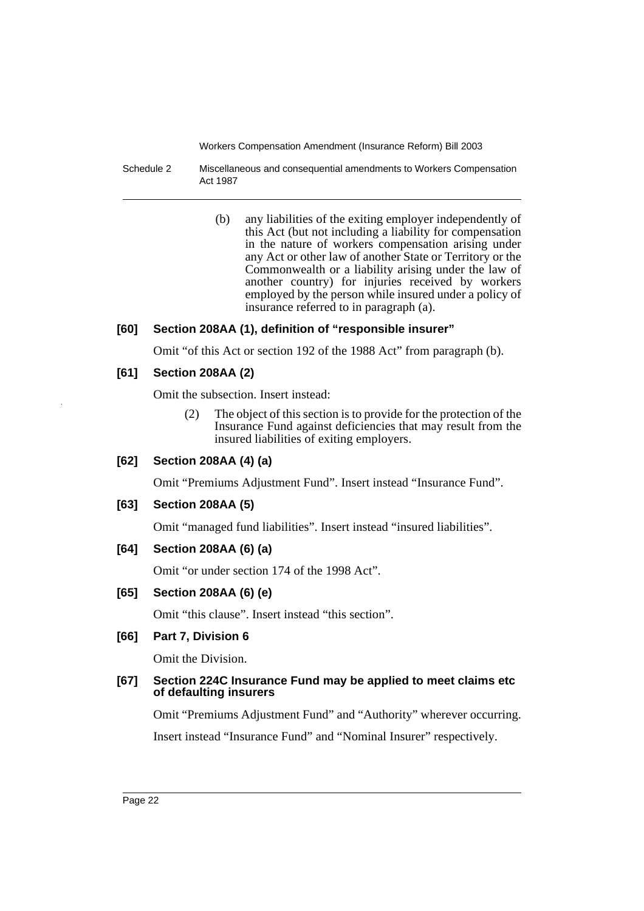Schedule 2 Miscellaneous and consequential amendments to Workers Compensation Act 1987

> (b) any liabilities of the exiting employer independently of this Act (but not including a liability for compensation in the nature of workers compensation arising under any Act or other law of another State or Territory or the Commonwealth or a liability arising under the law of another country) for injuries received by workers employed by the person while insured under a policy of insurance referred to in paragraph (a).

## **[60] Section 208AA (1), definition of "responsible insurer"**

Omit "of this Act or section 192 of the 1988 Act" from paragraph (b).

## **[61] Section 208AA (2)**

Omit the subsection. Insert instead:

(2) The object of this section is to provide for the protection of the Insurance Fund against deficiencies that may result from the insured liabilities of exiting employers.

## **[62] Section 208AA (4) (a)**

Omit "Premiums Adjustment Fund". Insert instead "Insurance Fund".

## **[63] Section 208AA (5)**

Omit "managed fund liabilities". Insert instead "insured liabilities".

## **[64] Section 208AA (6) (a)**

Omit "or under section 174 of the 1998 Act".

## **[65] Section 208AA (6) (e)**

Omit "this clause". Insert instead "this section".

## **[66] Part 7, Division 6**

Omit the Division.

## **[67] Section 224C Insurance Fund may be applied to meet claims etc of defaulting insurers**

Omit "Premiums Adjustment Fund" and "Authority" wherever occurring. Insert instead "Insurance Fund" and "Nominal Insurer" respectively.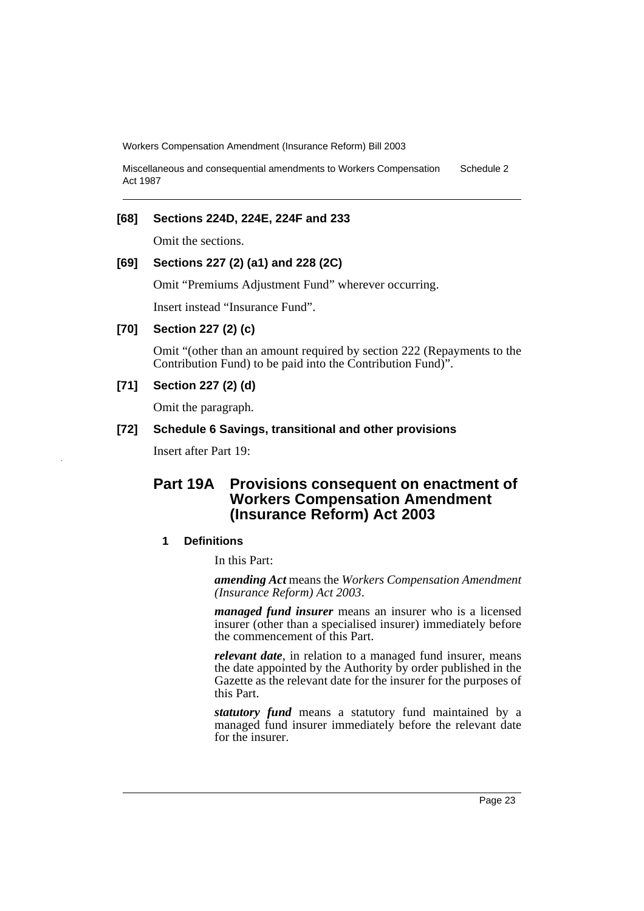Miscellaneous and consequential amendments to Workers Compensation Act 1987 Schedule 2

## **[68] Sections 224D, 224E, 224F and 233**

Omit the sections.

## **[69] Sections 227 (2) (a1) and 228 (2C)**

Omit "Premiums Adjustment Fund" wherever occurring.

Insert instead "Insurance Fund".

#### **[70] Section 227 (2) (c)**

Omit "(other than an amount required by section 222 (Repayments to the Contribution Fund) to be paid into the Contribution Fund)".

## **[71] Section 227 (2) (d)**

Omit the paragraph.

## **[72] Schedule 6 Savings, transitional and other provisions**

Insert after Part 19:

## **Part 19A Provisions consequent on enactment of Workers Compensation Amendment (Insurance Reform) Act 2003**

#### **1 Definitions**

In this Part:

*amending Act* means the *Workers Compensation Amendment (Insurance Reform) Act 2003*.

*managed fund insurer* means an insurer who is a licensed insurer (other than a specialised insurer) immediately before the commencement of this Part.

*relevant date*, in relation to a managed fund insurer, means the date appointed by the Authority by order published in the Gazette as the relevant date for the insurer for the purposes of this Part.

*statutory fund* means a statutory fund maintained by a managed fund insurer immediately before the relevant date for the insurer.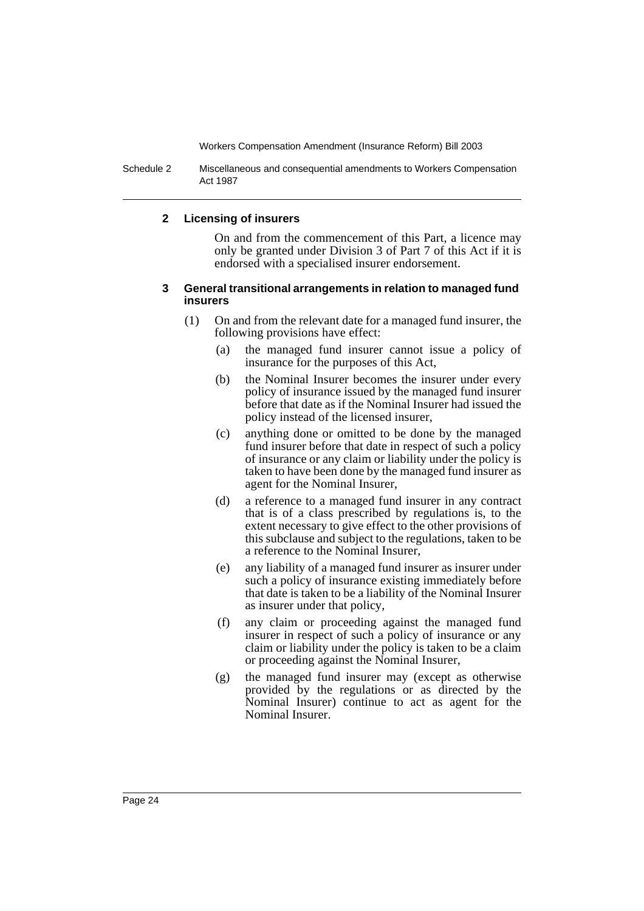Schedule 2 Miscellaneous and consequential amendments to Workers Compensation Act 1987

#### **2 Licensing of insurers**

On and from the commencement of this Part, a licence may only be granted under Division 3 of Part 7 of this Act if it is endorsed with a specialised insurer endorsement.

#### **3 General transitional arrangements in relation to managed fund insurers**

- (1) On and from the relevant date for a managed fund insurer, the following provisions have effect:
	- (a) the managed fund insurer cannot issue a policy of insurance for the purposes of this Act,
	- (b) the Nominal Insurer becomes the insurer under every policy of insurance issued by the managed fund insurer before that date as if the Nominal Insurer had issued the policy instead of the licensed insurer,
	- (c) anything done or omitted to be done by the managed fund insurer before that date in respect of such a policy of insurance or any claim or liability under the policy is taken to have been done by the managed fund insurer as agent for the Nominal Insurer,
	- (d) a reference to a managed fund insurer in any contract that is of a class prescribed by regulations is, to the extent necessary to give effect to the other provisions of this subclause and subject to the regulations, taken to be a reference to the Nominal Insurer,
	- (e) any liability of a managed fund insurer as insurer under such a policy of insurance existing immediately before that date is taken to be a liability of the Nominal Insurer as insurer under that policy,
	- (f) any claim or proceeding against the managed fund insurer in respect of such a policy of insurance or any claim or liability under the policy is taken to be a claim or proceeding against the Nominal Insurer,
	- (g) the managed fund insurer may (except as otherwise provided by the regulations or as directed by the Nominal Insurer) continue to act as agent for the Nominal Insurer.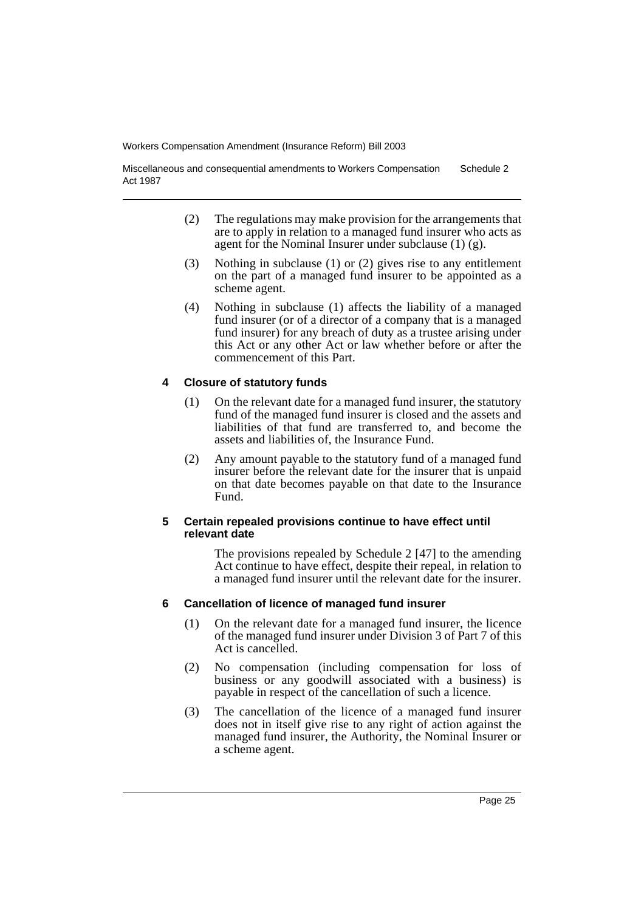Miscellaneous and consequential amendments to Workers Compensation Act 1987 Schedule 2

- (2) The regulations may make provision for the arrangements that are to apply in relation to a managed fund insurer who acts as agent for the Nominal Insurer under subclause  $(1)$   $(g)$ .
- (3) Nothing in subclause (1) or (2) gives rise to any entitlement on the part of a managed fund insurer to be appointed as a scheme agent.
- (4) Nothing in subclause (1) affects the liability of a managed fund insurer (or of a director of a company that is a managed fund insurer) for any breach of duty as a trustee arising under this Act or any other Act or law whether before or after the commencement of this Part.

## **4 Closure of statutory funds**

- (1) On the relevant date for a managed fund insurer, the statutory fund of the managed fund insurer is closed and the assets and liabilities of that fund are transferred to, and become the assets and liabilities of, the Insurance Fund.
- (2) Any amount payable to the statutory fund of a managed fund insurer before the relevant date for the insurer that is unpaid on that date becomes payable on that date to the Insurance Fund.

## **5 Certain repealed provisions continue to have effect until relevant date**

The provisions repealed by Schedule 2 [47] to the amending Act continue to have effect, despite their repeal, in relation to a managed fund insurer until the relevant date for the insurer.

## **6 Cancellation of licence of managed fund insurer**

- (1) On the relevant date for a managed fund insurer, the licence of the managed fund insurer under Division 3 of Part 7 of this Act is cancelled.
- (2) No compensation (including compensation for loss of business or any goodwill associated with a business) is payable in respect of the cancellation of such a licence.
- (3) The cancellation of the licence of a managed fund insurer does not in itself give rise to any right of action against the managed fund insurer, the Authority, the Nominal Insurer or a scheme agent.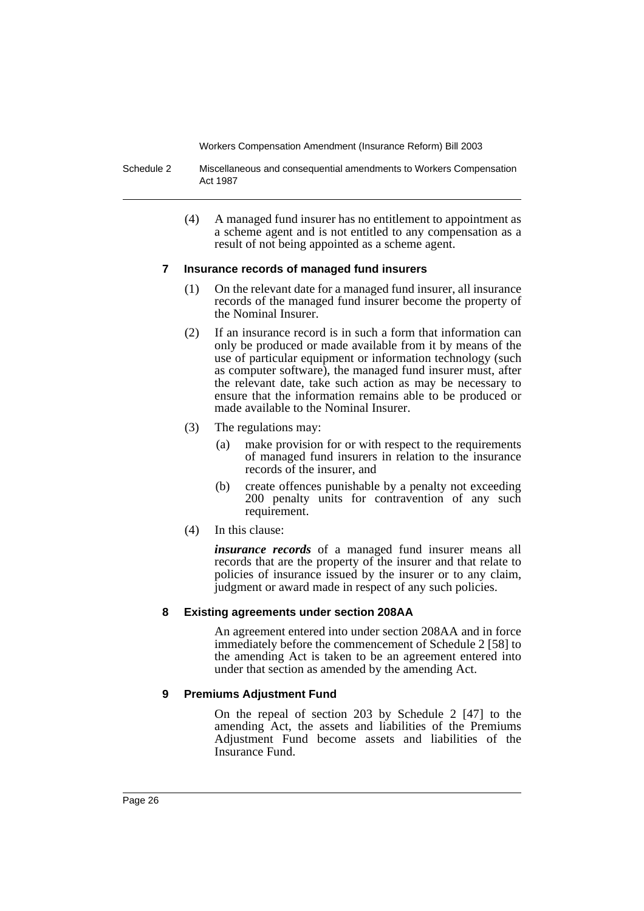Schedule 2 Miscellaneous and consequential amendments to Workers Compensation Act 1987

> (4) A managed fund insurer has no entitlement to appointment as a scheme agent and is not entitled to any compensation as a result of not being appointed as a scheme agent.

#### **7 Insurance records of managed fund insurers**

- (1) On the relevant date for a managed fund insurer, all insurance records of the managed fund insurer become the property of the Nominal Insurer.
- (2) If an insurance record is in such a form that information can only be produced or made available from it by means of the use of particular equipment or information technology (such as computer software), the managed fund insurer must, after the relevant date, take such action as may be necessary to ensure that the information remains able to be produced or made available to the Nominal Insurer.
- (3) The regulations may:
	- (a) make provision for or with respect to the requirements of managed fund insurers in relation to the insurance records of the insurer, and
	- (b) create offences punishable by a penalty not exceeding 200 penalty units for contravention of any such requirement.
- (4) In this clause:

*insurance records* of a managed fund insurer means all records that are the property of the insurer and that relate to policies of insurance issued by the insurer or to any claim, judgment or award made in respect of any such policies.

## **8 Existing agreements under section 208AA**

An agreement entered into under section 208AA and in force immediately before the commencement of Schedule 2 [58] to the amending Act is taken to be an agreement entered into under that section as amended by the amending Act.

## **9 Premiums Adjustment Fund**

On the repeal of section 203 by Schedule 2 [47] to the amending Act, the assets and liabilities of the Premiums Adjustment Fund become assets and liabilities of the Insurance Fund.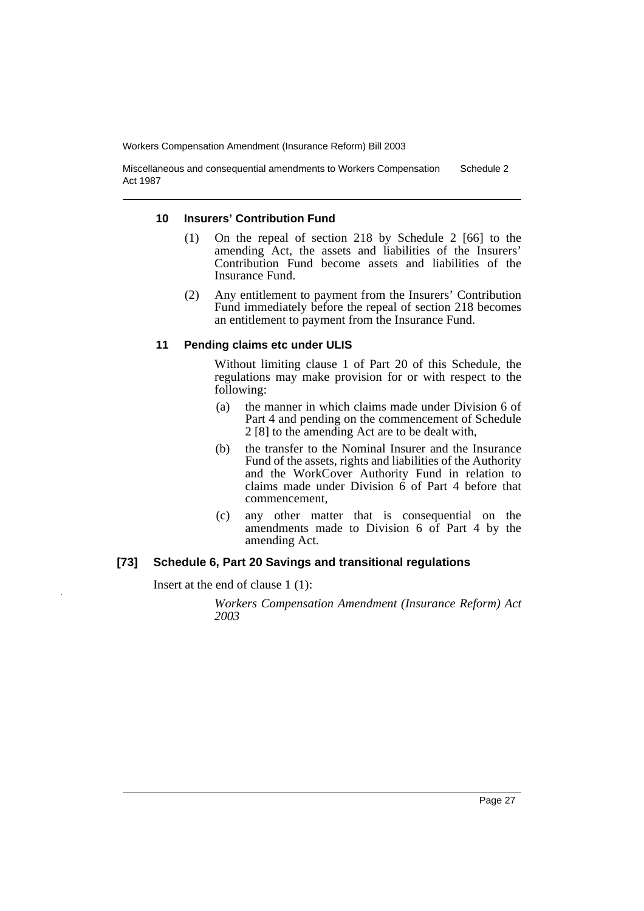Miscellaneous and consequential amendments to Workers Compensation Act 1987 Schedule 2

#### **10 Insurers' Contribution Fund**

- (1) On the repeal of section 218 by Schedule 2 [66] to the amending Act, the assets and liabilities of the Insurers' Contribution Fund become assets and liabilities of the Insurance Fund.
- (2) Any entitlement to payment from the Insurers' Contribution Fund immediately before the repeal of section 218 becomes an entitlement to payment from the Insurance Fund.

#### **11 Pending claims etc under ULIS**

Without limiting clause 1 of Part 20 of this Schedule, the regulations may make provision for or with respect to the following:

- (a) the manner in which claims made under Division 6 of Part 4 and pending on the commencement of Schedule 2 [8] to the amending Act are to be dealt with,
- (b) the transfer to the Nominal Insurer and the Insurance Fund of the assets, rights and liabilities of the Authority and the WorkCover Authority Fund in relation to claims made under Division  $\ddot{6}$  of Part 4 before that commencement,
- (c) any other matter that is consequential on the amendments made to Division 6 of Part 4 by the amending Act.

#### **[73] Schedule 6, Part 20 Savings and transitional regulations**

Insert at the end of clause 1 (1):

*Workers Compensation Amendment (Insurance Reform) Act 2003*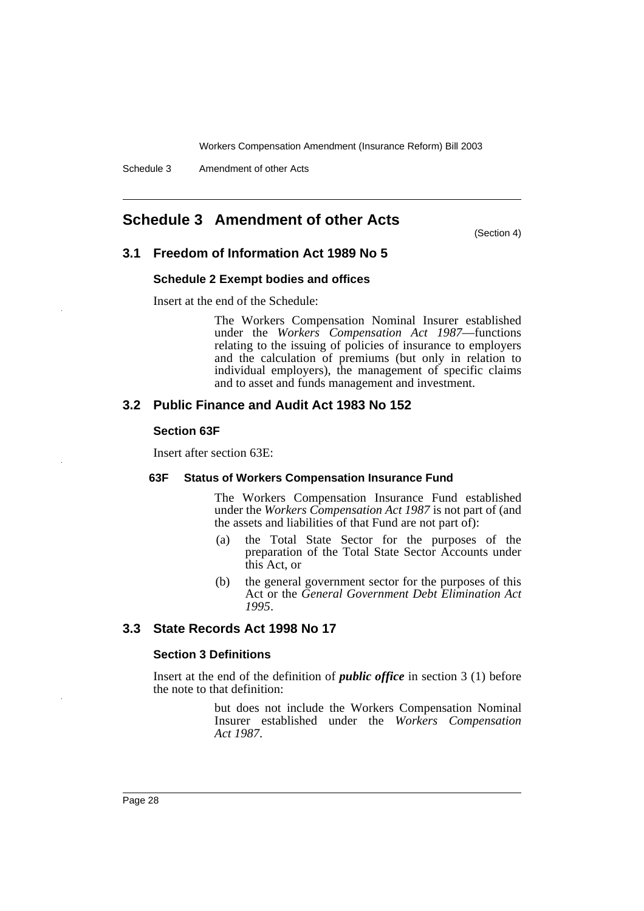## **Schedule 3 Amendment of other Acts**

(Section 4)

## **3.1 Freedom of Information Act 1989 No 5**

#### **Schedule 2 Exempt bodies and offices**

Insert at the end of the Schedule:

The Workers Compensation Nominal Insurer established under the *Workers Compensation Act 1987*—functions relating to the issuing of policies of insurance to employers and the calculation of premiums (but only in relation to individual employers), the management of specific claims and to asset and funds management and investment.

## **3.2 Public Finance and Audit Act 1983 No 152**

#### **Section 63F**

Insert after section 63E:

#### **63F Status of Workers Compensation Insurance Fund**

The Workers Compensation Insurance Fund established under the *Workers Compensation Act 1987* is not part of (and the assets and liabilities of that Fund are not part of):

- (a) the Total State Sector for the purposes of the preparation of the Total State Sector Accounts under this Act, or
- (b) the general government sector for the purposes of this Act or the *General Government Debt Elimination Act 1995*.

## **3.3 State Records Act 1998 No 17**

#### **Section 3 Definitions**

Insert at the end of the definition of *public office* in section 3 (1) before the note to that definition:

> but does not include the Workers Compensation Nominal Insurer established under the *Workers Compensation Act 1987*.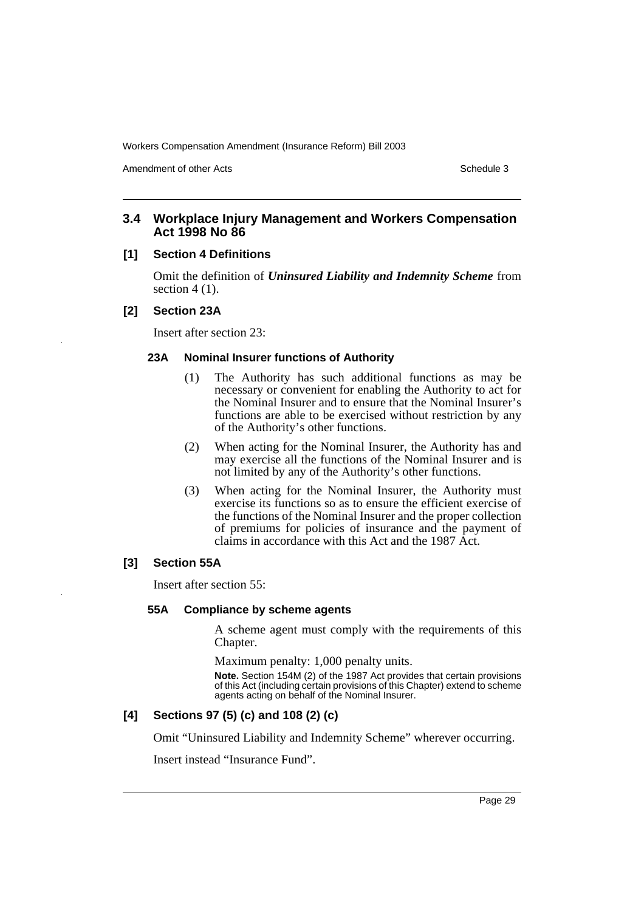Amendment of other Acts **Schedule 3** and the 3 set of the 3 set of the 3 set of the 3 set of the 3 set of the 3 set of the 3 set of the 3 set of the 3 set of the 3 set of the 3 set of the 3 set of the 3 set of the 3 set of

## **3.4 Workplace Injury Management and Workers Compensation Act 1998 No 86**

### **[1] Section 4 Definitions**

Omit the definition of *Uninsured Liability and Indemnity Scheme* from section  $4(1)$ .

## **[2] Section 23A**

Insert after section 23:

## **23A Nominal Insurer functions of Authority**

- (1) The Authority has such additional functions as may be necessary or convenient for enabling the Authority to act for the Nominal Insurer and to ensure that the Nominal Insurer's functions are able to be exercised without restriction by any of the Authority's other functions.
- (2) When acting for the Nominal Insurer, the Authority has and may exercise all the functions of the Nominal Insurer and is not limited by any of the Authority's other functions.
- (3) When acting for the Nominal Insurer, the Authority must exercise its functions so as to ensure the efficient exercise of the functions of the Nominal Insurer and the proper collection of premiums for policies of insurance and the payment of claims in accordance with this Act and the 1987 Act.

#### **[3] Section 55A**

Insert after section 55:

#### **55A Compliance by scheme agents**

A scheme agent must comply with the requirements of this Chapter.

Maximum penalty: 1,000 penalty units.

**Note.** Section 154M (2) of the 1987 Act provides that certain provisions of this Act (including certain provisions of this Chapter) extend to scheme agents acting on behalf of the Nominal Insurer.

## **[4] Sections 97 (5) (c) and 108 (2) (c)**

Omit "Uninsured Liability and Indemnity Scheme" wherever occurring.

Insert instead "Insurance Fund".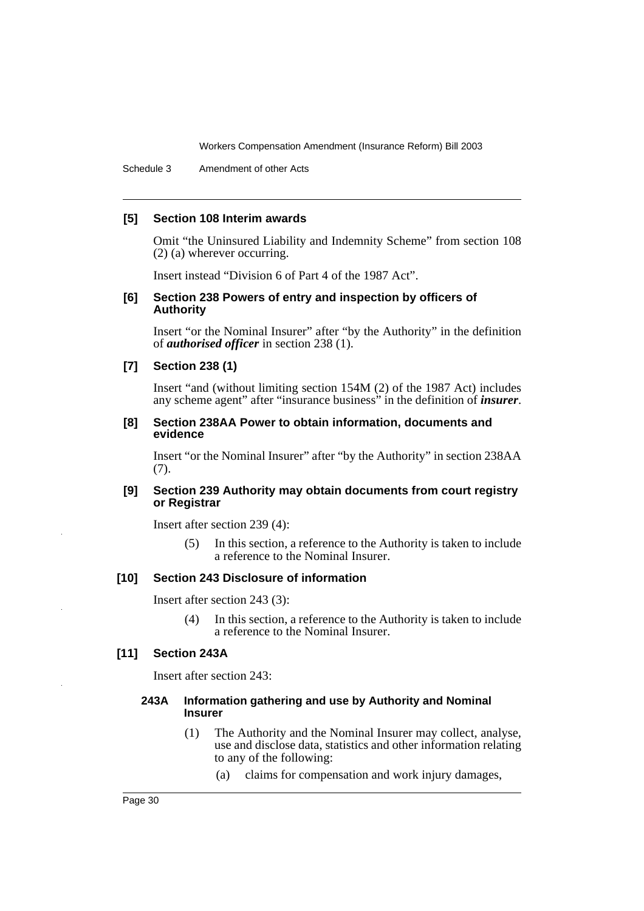Schedule 3 Amendment of other Acts

#### **[5] Section 108 Interim awards**

Omit "the Uninsured Liability and Indemnity Scheme" from section 108 (2) (a) wherever occurring.

Insert instead "Division 6 of Part 4 of the 1987 Act".

#### **[6] Section 238 Powers of entry and inspection by officers of Authority**

Insert "or the Nominal Insurer" after "by the Authority" in the definition of *authorised officer* in section 238 (1).

#### **[7] Section 238 (1)**

Insert "and (without limiting section 154M (2) of the 1987 Act) includes any scheme agent" after "insurance business" in the definition of *insurer*.

#### **[8] Section 238AA Power to obtain information, documents and evidence**

Insert "or the Nominal Insurer" after "by the Authority" in section 238AA (7).

#### **[9] Section 239 Authority may obtain documents from court registry or Registrar**

Insert after section 239 (4):

(5) In this section, a reference to the Authority is taken to include a reference to the Nominal Insurer.

## **[10] Section 243 Disclosure of information**

Insert after section 243 (3):

(4) In this section, a reference to the Authority is taken to include a reference to the Nominal Insurer.

#### **[11] Section 243A**

Insert after section 243:

### **243A Information gathering and use by Authority and Nominal Insurer**

- (1) The Authority and the Nominal Insurer may collect, analyse, use and disclose data, statistics and other information relating to any of the following:
	- (a) claims for compensation and work injury damages,